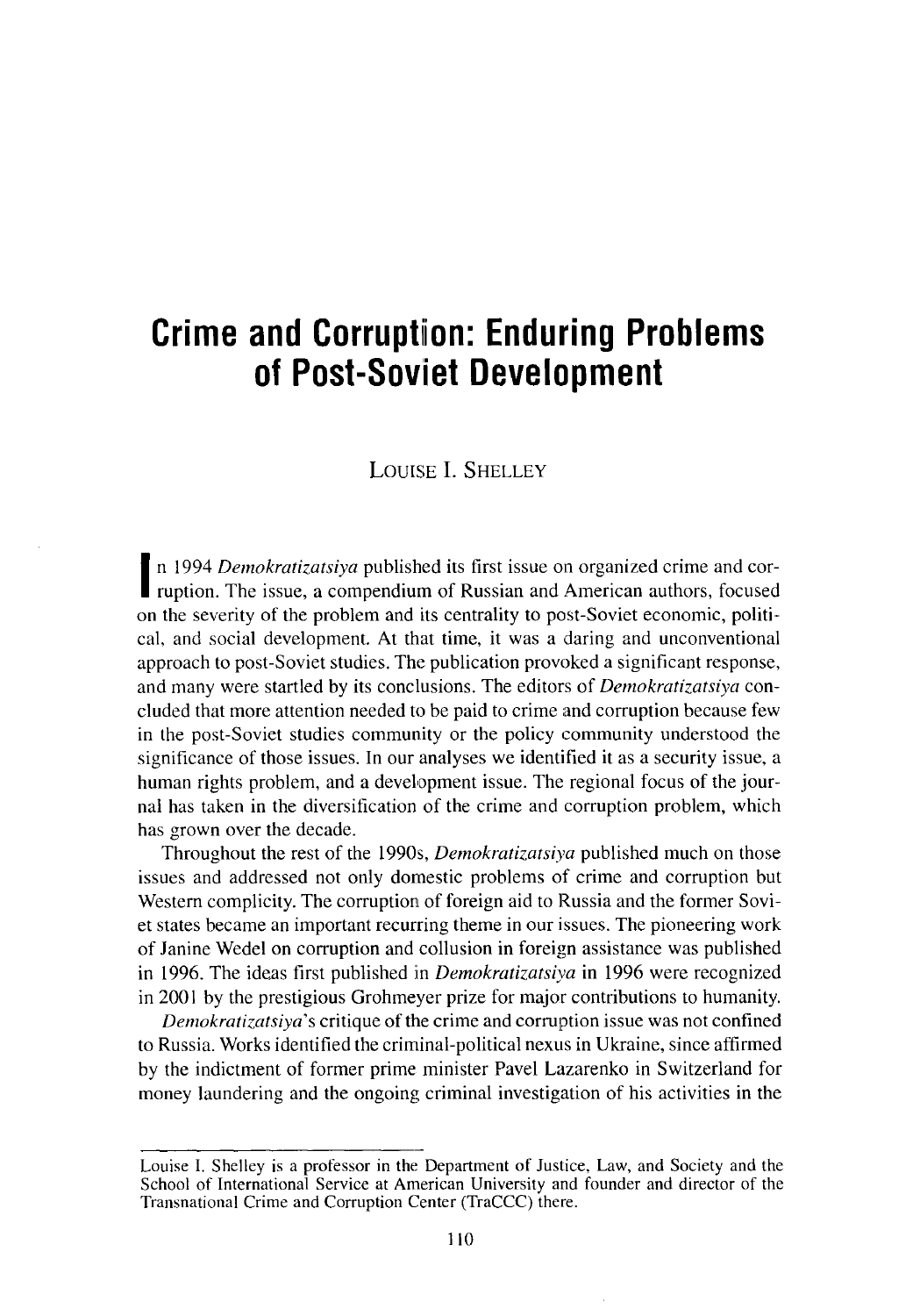# **Crime and Corruption: Enduring Problems of Post**-**Soviet Development**

## LOUISE I. SHELLEY

**I** ruption. The issue, a compendium of Russian and American authors, focused n 1994 *Demokratiza tsiya* published its first issue on organized crime and coron the severity of the problem and its centrality to post-Soviet economic, political, and social development. At that time, it was a daring and unconventional approach to post-Soviet studies. The publication provoked a significant response, and many were startled by its conclusions. The editors of *Demokratizatsiya* concluded that more attention needed to be paid to crime and corruption because few in the post-Soviet studies community or the policy community understood the significance of those issues. In our analyses we identified it as a security issue, a human rights problem, and a development issue. The regional focus of the journal has taken in the diversification of the crime and corruption problem, which has grown over the decade.

Throughout the rest of the 1990s, *Demokratizatsiya* published much on those issues and addressed not only domestic problems of crime and corruption but Western complicity. The corruption of foreign aid to Russia and the former Soviet states became an important recurring theme in our issues. The pioneering work of Janine Wedel on corruption and collusion in foreign assistance was published in 1996. The ideas first published in *Demokratizatsiya* in 1996 were recognized in 2001 by the prestigious Grohmeyer prize for majos contributions to humanity.

*Demokratizatsiya's* critique of the crime and corruption issue was not confined to Russia. Works identified the criminal-political nexus in Ukraine, since affirmed by the indictment of former prime minister Pavel Lazarenko in Switzerland for money laundering and the ongoing criminal investigation of his activities in the

**Louise I. Shelley is a professor in the Department of Justice** , **Law, and Society and the School of International Service at American University and founder and director of the Transnational Crime and Corruption Center** (TraCCC) **there.**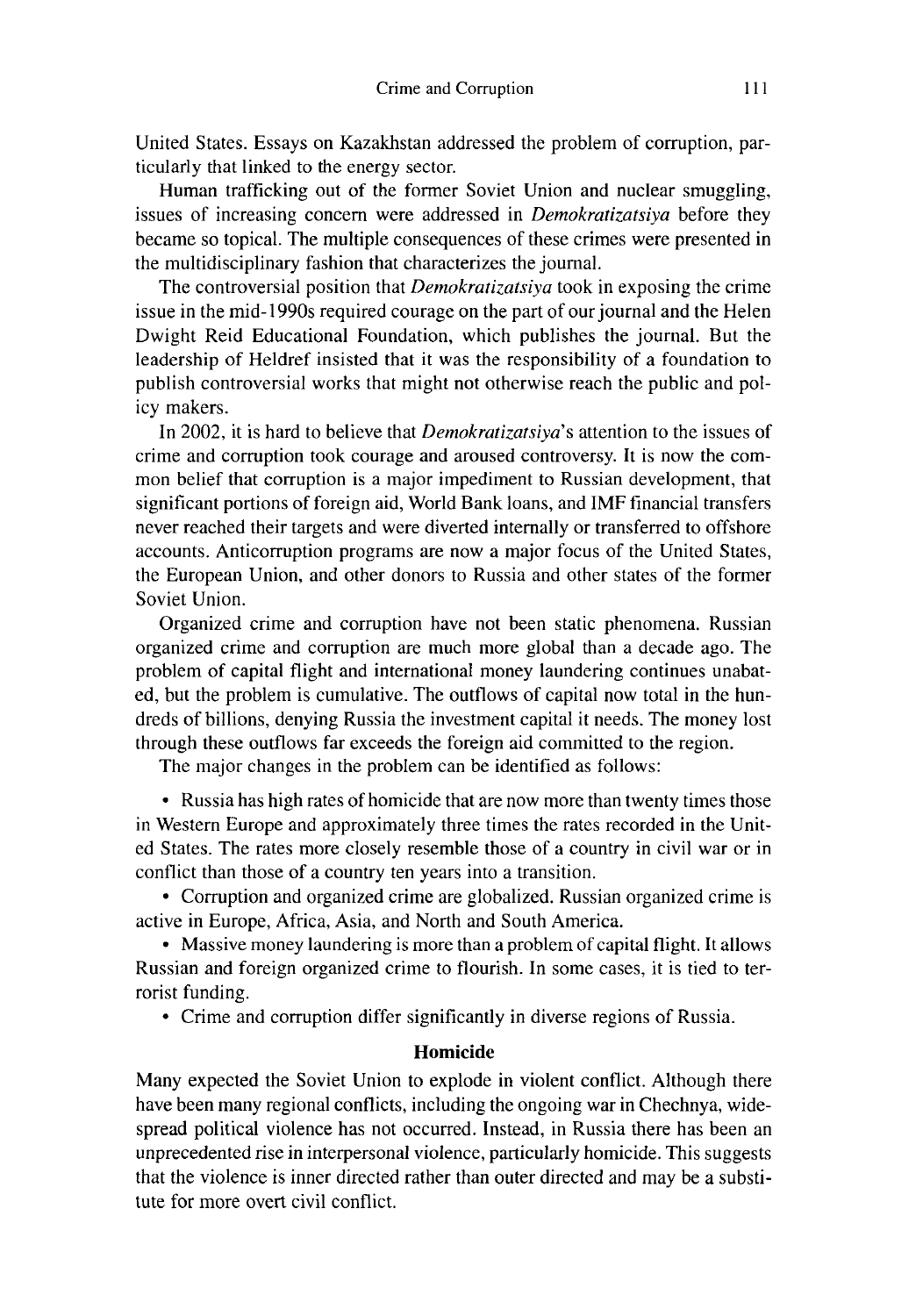United States. Essays on Kazakhstan addressed the problem of corruption, particularly that linked to the energy sector.

Human trafficking out of the former Soviet Union and nuclear smuggling, issues of increasing concern were addressed in *Demokratizatsiya* before they became so topical. The multiple consequences of these crimes were presented in the multidisciplinary fashion that characterizes the journal.

The controversial position that *Demokratizatsiya* took in exposing the crime issue in the mid-1990s required courage on the part of our journal and the Helen Dwight Reid Educational Foundation, which publishes the journal. But the leadership of Heldref insisted that it was the responsibility of a foundation to publish controversial works that might not otherwise reach the public and policy makers.

In 2002, it is hard to believe that *Demokratizatsiya's* attention to the issues of crime and corruption took courage and aroused controversy. It is now the common belief that corruption is a major impediment to Russian development, that significant portions of foreign aid, World Bank loans, and IMF financial transfers never reached their targets and were diverted internally or transferred to offshore accounts. Anticorruption programs are now a major focus of the United States, the European Union, and other donors to Russia and other states of the former Soviet Union.

Organized crime and corruption have not been static phenomena. Russian organized crime and corruption are much more global than a decade ago. The problem of capital flight and international money laundering continues unabated, but the problem is cumulative. The outflows of capital now total in the hundreds of billions, denying Russia the investment capital it needs. The money lost through these outflows far exceeds the foreign aid committed to the region.

The major changes in the problem can be identified as follows:

• Russia has high rates of homicide that are now more than twenty times those in Western Europe and approximately three times the rates recorded in the United States. The rates more closely resemble those of a country in civil war or in conflict than those of a country ten years into a transition.

• Corruption and organized crime are globalized. Russian organized crime is active in Europe, Africa, Asia, and North and South America.

• Massive money laundering is more than a problem of capital flight. It allows Russian and foreign organized crime to flourish. In come cases, it is tied to terrorist funding.

• Crime and corruption differ significantly in diverse regions of Russia.

### **Homicide**

Many expected the Soviet Union to explode in violent conflict. Although there have been many regional conflicts, including the ongoing war in Chechnya, widespread political violence has not occurred. Instead, in Russia there has been an unprecedented rise in interpersonal violence, particularly homicide. This suggests that the violence is inner directed rather than outer directed and may be a substitute for more overt civil conflict.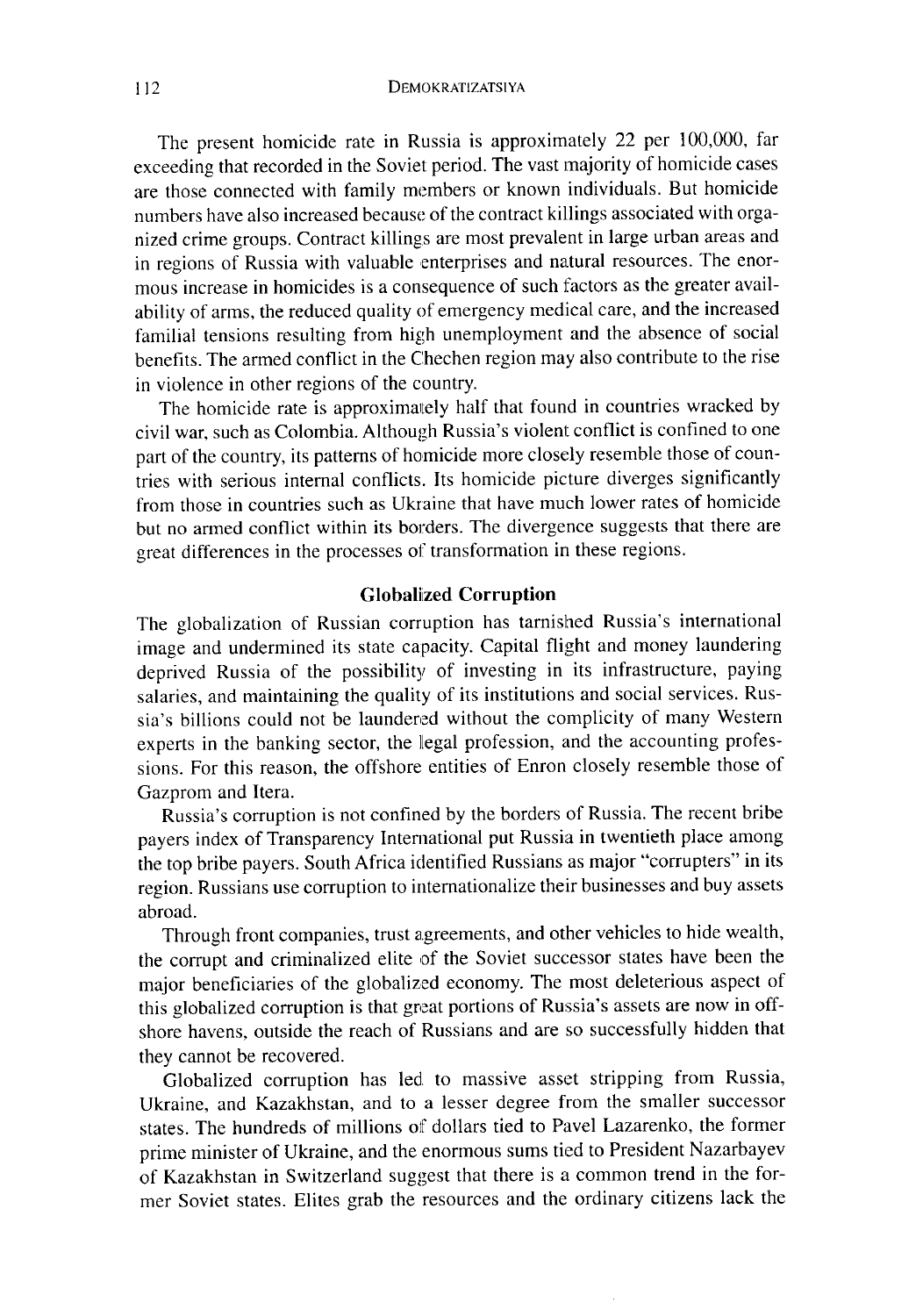The present homicide rate in Russia is approximately 22 per 100,000, far exceeding that recorded in the Soviet period. The vast majority of homicide cases are those connected with family members or known individuals. But homicide numbers have also increased because of the contract killings associated with organized crime groups. Contract killings are most prevalent in large urban areas and in regions of Russia with valuable enterprises and natural resources. The enormous mercase in homicides is a consequence of such factors as the greater availability of arms, the reduced quality of emergency medical care, and the increased familial tensions resulting from high unemployment and the absence of social benefits. The armed conflict in the Chechen region may also contribute to the rise in violence in other regions of the country.

The homicide rate is approximately half that found in countries wracked by civil war, such as Colombia. Although Russia's violent conflict is confined to one part of the country, its patterns of homicide more closely resemble those of countries with serious internal conflicts. Its homicide picture diverges significantly from those in countries such as Ukraine that have much lower rates of homicide but no armed conflict within its borders. The divergence suggests that there are great differences in the processes of transformation in these regions.

#### **Globalized Corruption**

The globalization of Russian corruption has tarnished Russia's international image and undermined its state capacity. Capital flight and money laundering deprived Russia of the possibility of investing **in its** infrastructure, paying salaries, and maintaining the quality of its **institutions** and social services. Russia's billions could not be laundered without the complicity of many Western experts in the banking sector, the legal profession, and the accounting professions. For this reason, the offshore entities of Enron closely resemble those of Gazprom and Itera.

Russia's corruption is not confined by the borders of Russia. The recent bribe payers index of Transparency International put Russia in twentieth place among the top bribe payers. South Africa identified Russians as major "corrupters" in its region. Russians use corruption to internationalize their businesses and buy assets abroad.

Through front companies, trust agreements, and other vehicles to hide wealth, the corrupt and criminalized elite of the Soviet successor states have been the major beneficiaries of the globalized economy. The most deleterious aspect of this globalized corruption is that great portions of Russia's assets are now in offshore havens, outside the reach of Russians and are so successfully hidden that they cannot be recovered.

Globalized corruption has led, to massive asset stripping from Russia, Ukraine, and Kazakhstan, and to a lesser degree from the smaller successor states. The hundreds of millions of dollars tied to Pavel Lazarenko, the former prime minister of Ukraine, and the enormous sums tied to President Nazarbayev of Kazakhstan in Switzerland suggest that there is a common trend in the former Soviet states. Elites grab the resources and the ordinary citizens lack the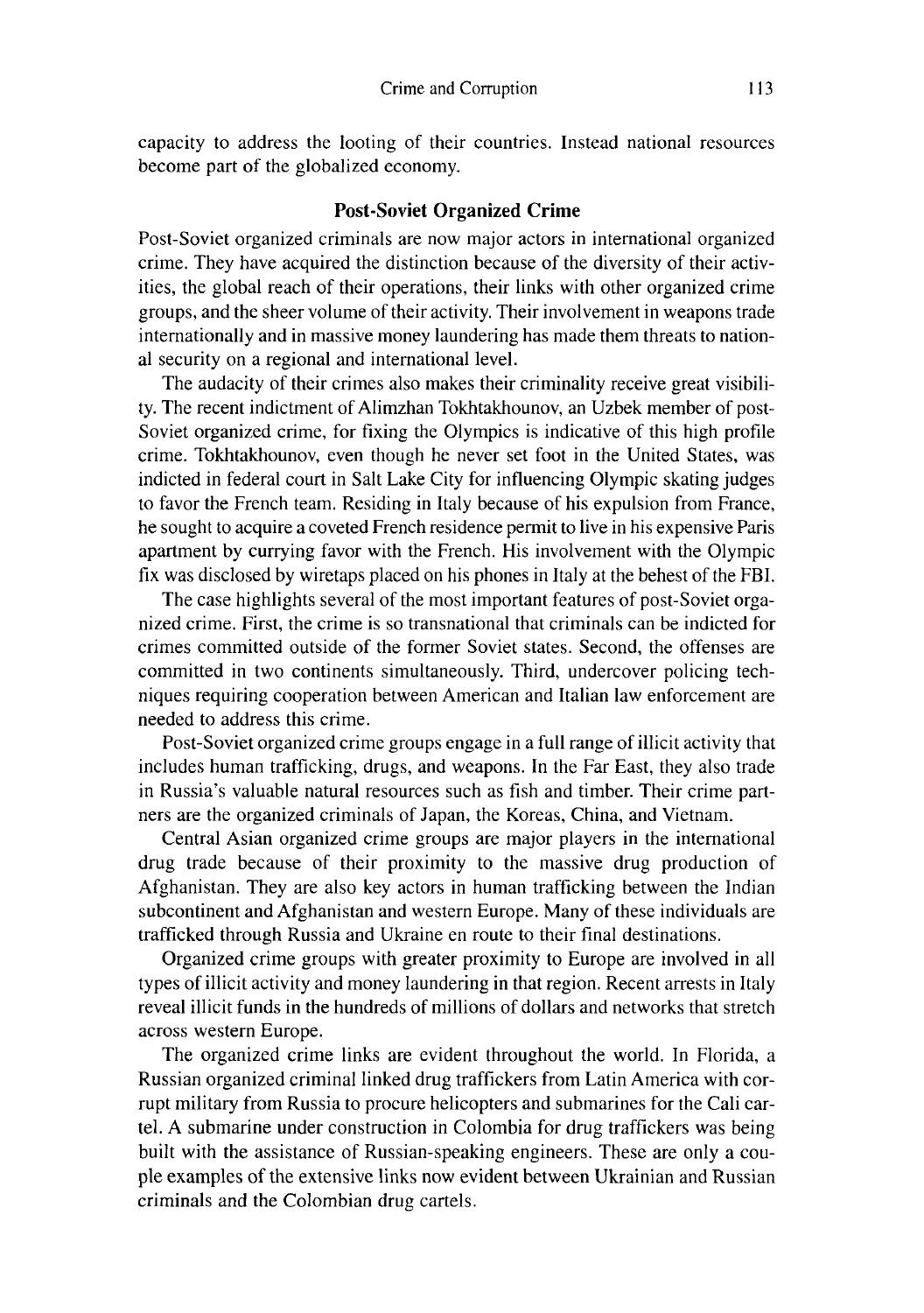capacity to address the looting of their countries. Instead national resources become part of the globalized economy.

#### **Post**-**Soviet Organized Crime**

Post-Soviet organized criminals are now major actors in international organized crime. They have acquired the distinction because of the diversity of their activities, the global reach of their operations, their links with other organized crime groups, and the sheer volume of their activity. Their involvement in weapons trade internationally and in massive money laundering has made them threats to **nation**al security on a regional and international level.

The audacity of their crimes also makes their criminality receive great visibility. The recent indictment of Alimzhan Tokhtakhounov, an Uzbek member of post-Soviet organized crime, for fixing the Olympics is indicative of this high profile crime. Tokhtakhounov, even though he never set foot in the United States, was indicted in federal court in Salt Lake City for influencing Olympic skating judges to favor the French team. Residing in Italy because of his expulsion from France, he sought to acquire a coveted French residence permit to live in his expensive Paris apartment by currying favor with the French. His involvement with the Olympic fix was disclosed by wiretaps placed on his phones in Italy at the behest of the FBI.

The case highlights several of the most important features of post-Soviet organized crime. First, the crime is so transnational that criminals can be indicted for crimes committed outside of the former Soviet states. Second, the offenses are committed in two continents simultaneously. Third, undercover policing techniques requiring cooperation between American and Italian law enforcement are needed to address this crime.

Post-Soviet organized crime groups engage in a full range of illicit activity that includes human trafficking, drugs, and weapons. In the Far East, they also trade in Russia's valuable **natural** resources such as fish and timber. Their crime partners are the organized criminals of Japan, the Koreas, China, and Vietnam.

Central Asian organized crime groups are major players in the international drug trade because of their proximity to the massive drug production of Afghanistan. They are also key actors in human trafficking between the Indian subcontinent and Afghanistan and western Europe. Many of these individuals are trafficked through Russia and Ukraine en route to their final destinations.

Organized crime groups with greater proximity to Europe are involved in all types of illicit activity and money laundering in that region. Recent arrests in Italy reveal illicit funds in the hundreds of millions of dollars and networks that stretch across western Europe.

The organized crime links are evident throughout the world. In Florida, a Russian organized criminal linked drug traffickers from Latin America with corrupt military from Russia to procure helicopters and submarines for the Cali cartel. A submarine under construction in Colombia for drug traffickers was being built with the assistance of Russian-speaking engineers. These are only a couple examples of the extensive links now evident between Ukrainian and Russian criminals and the Colombian drug cartels.